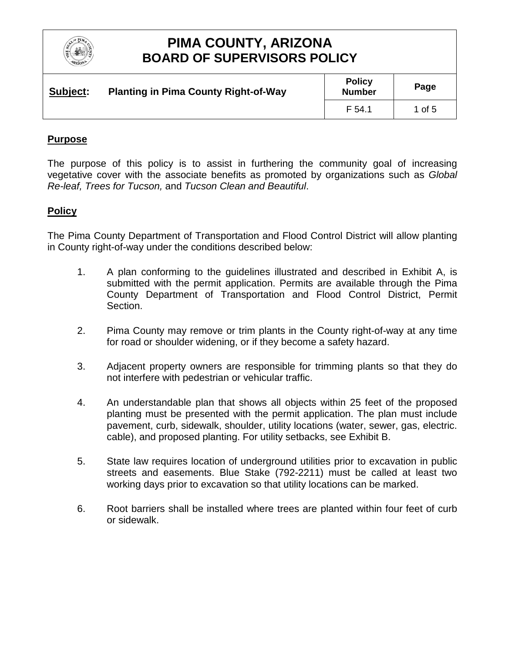

| Subject: | <b>Planting in Pima County Right-of-Way</b> | <b>Policy</b><br><b>Number</b> | Page     |
|----------|---------------------------------------------|--------------------------------|----------|
|          |                                             | F 54.1                         | 1 of $5$ |

### **Purpose**

The purpose of this policy is to assist in furthering the community goal of increasing vegetative cover with the associate benefits as promoted by organizations such as *Global Re-leaf, Trees for Tucson,* and *Tucson Clean and Beautiful*.

#### **Policy**

The Pima County Department of Transportation and Flood Control District will allow planting in County right-of-way under the conditions described below:

- 1. A plan conforming to the guidelines illustrated and described in Exhibit A, is submitted with the permit application. Permits are available through the Pima County Department of Transportation and Flood Control District, Permit Section.
- 2. Pima County may remove or trim plants in the County right-of-way at any time for road or shoulder widening, or if they become a safety hazard.
- 3. Adjacent property owners are responsible for trimming plants so that they do not interfere with pedestrian or vehicular traffic.
- 4. An understandable plan that shows all objects within 25 feet of the proposed planting must be presented with the permit application. The plan must include pavement, curb, sidewalk, shoulder, utility locations (water, sewer, gas, electric. cable), and proposed planting. For utility setbacks, see Exhibit B.
- 5. State law requires location of underground utilities prior to excavation in public streets and easements. Blue Stake (792-2211) must be called at least two working days prior to excavation so that utility locations can be marked.
- 6. Root barriers shall be installed where trees are planted within four feet of curb or sidewalk.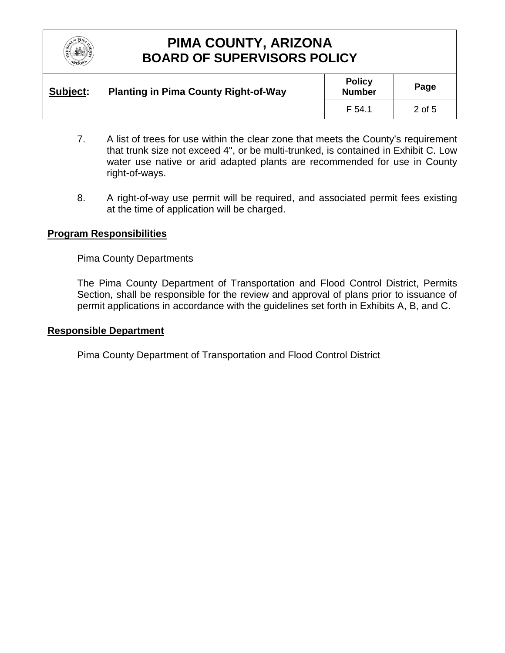

| Subject: | <b>Planting in Pima County Right-of-Way</b> | <b>Policy</b><br><b>Number</b> | Page   |
|----------|---------------------------------------------|--------------------------------|--------|
|          |                                             | F 54.1                         | 2 of 5 |

- 7. A list of trees for use within the clear zone that meets the County's requirement that trunk size not exceed 4", or be multi-trunked, is contained in Exhibit C. Low water use native or arid adapted plants are recommended for use in County right-of-ways.
- 8. A right-of-way use permit will be required, and associated permit fees existing at the time of application will be charged.

#### **Program Responsibilities**

Pima County Departments

The Pima County Department of Transportation and Flood Control District, Permits Section, shall be responsible for the review and approval of plans prior to issuance of permit applications in accordance with the guidelines set forth in Exhibits A, B, and C.

#### **Responsible Department**

Pima County Department of Transportation and Flood Control District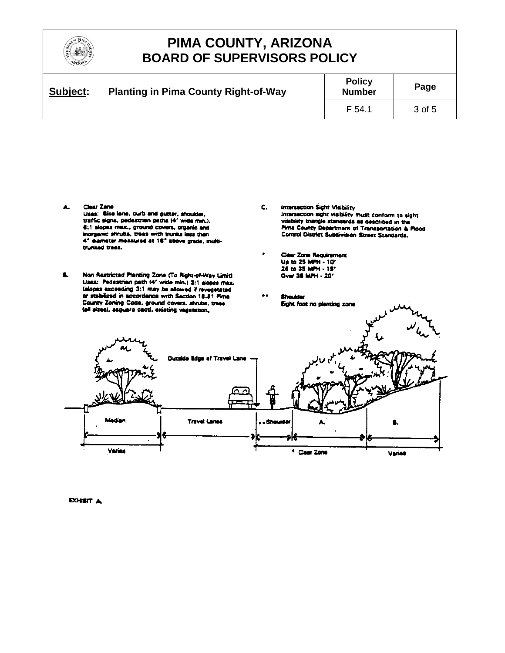

| Subject: | <b>Planting in Pima County Right-of-Way</b> | <b>Policy</b><br><b>Number</b> | Page   |
|----------|---------------------------------------------|--------------------------------|--------|
|          |                                             | F 54.1                         | 3 of 5 |

- Clear Zone А. Uses: Bike lane, curb and gutter, shoulder, traffic signs, pedestrian paths (4' wide min.), 6:1 slopes max., ground covers, arganic and inorganic shrubs, trees with trunks lass than 4" diameter measured at 18" above grade, multitrunked trees.
- ß. Non Restricted Planting Zone (To Right-of-Way Limit) Uses: Pedestrian path (4" wide min.) 3:1 slopes max. islopes exceeding 3:1 may be allowed if revegerated or stabilized in accordance with Section 18.81 Firms County Zoning Code, ground covers, shrubs, trees tail sizes), seguaro cacti, existing vegetation,
- C. Intersection Sight Visibility Intersection sight visibility must conform to sight Intersection agin, visitency must connoming agent.<br>Visibility triangle standards as described in the<br>Firna County Department of Transportation & Flood Control District Subdivision Street Standards.
- **Clear Zone Requirement** Up to 25 MPH - 10' Over 36 MPH - 20'
- **Shoulder** Eight foot no planting zone



**EXHILT A**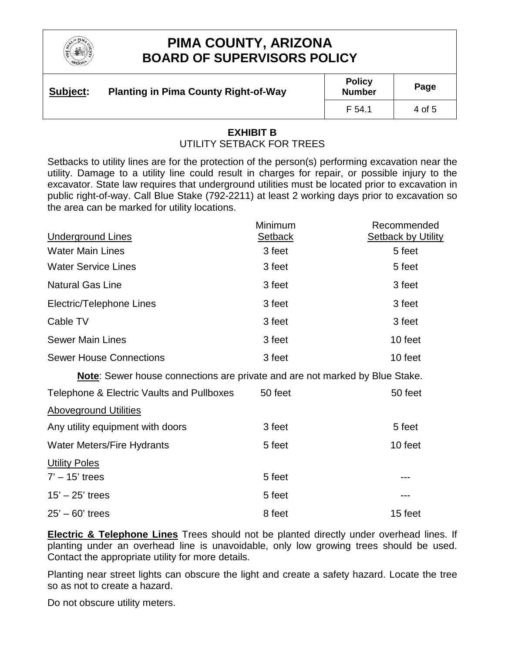

| Subject: | <b>Planting in Pima County Right-of-Way</b> | <b>Policy</b><br><b>Number</b> | Page   |
|----------|---------------------------------------------|--------------------------------|--------|
|          |                                             | F 54.1                         | 4 of 5 |

#### **EXHIBIT B** UTILITY SETBACK FOR TREES

Setbacks to utility lines are for the protection of the person(s) performing excavation near the utility. Damage to a utility line could result in charges for repair, or possible injury to the excavator. State law requires that underground utilities must be located prior to excavation in public right-of-way. Call Blue Stake (792-2211) at least 2 working days prior to excavation so the area can be marked for utility locations.

|                                                                             | Minimum        | Recommended               |
|-----------------------------------------------------------------------------|----------------|---------------------------|
| <b>Underground Lines</b>                                                    | <b>Setback</b> | <b>Setback by Utility</b> |
| <b>Water Main Lines</b>                                                     | 3 feet         | 5 feet                    |
| <b>Water Service Lines</b>                                                  | 3 feet         | 5 feet                    |
| <b>Natural Gas Line</b>                                                     | 3 feet         | 3 feet                    |
| Electric/Telephone Lines                                                    | 3 feet         | 3 feet                    |
| Cable TV                                                                    | 3 feet         | 3 feet                    |
| <b>Sewer Main Lines</b>                                                     | 3 feet         | 10 feet                   |
| <b>Sewer House Connections</b>                                              | 3 feet         | 10 feet                   |
| Note: Sewer house connections are private and are not marked by Blue Stake. |                |                           |
| Telephone & Electric Vaults and Pullboxes                                   | 50 feet        | 50 feet                   |
| <b>Aboveground Utilities</b>                                                |                |                           |
| Any utility equipment with doors                                            | 3 feet         | 5 feet                    |
| <b>Water Meters/Fire Hydrants</b>                                           | 5 feet         | 10 feet                   |
| <b>Utility Poles</b>                                                        |                |                           |
| $7' - 15'$ trees                                                            | 5 feet         | ---                       |
| $15' - 25'$ trees                                                           | 5 feet         |                           |
| $25' - 60'$ trees                                                           | 8 feet         | 15 feet                   |

**Electric & Telephone Lines** Trees should not be planted directly under overhead lines. If planting under an overhead line is unavoidable, only low growing trees should be used. Contact the appropriate utility for more details.

Planting near street lights can obscure the light and create a safety hazard. Locate the tree so as not to create a hazard.

Do not obscure utility meters.